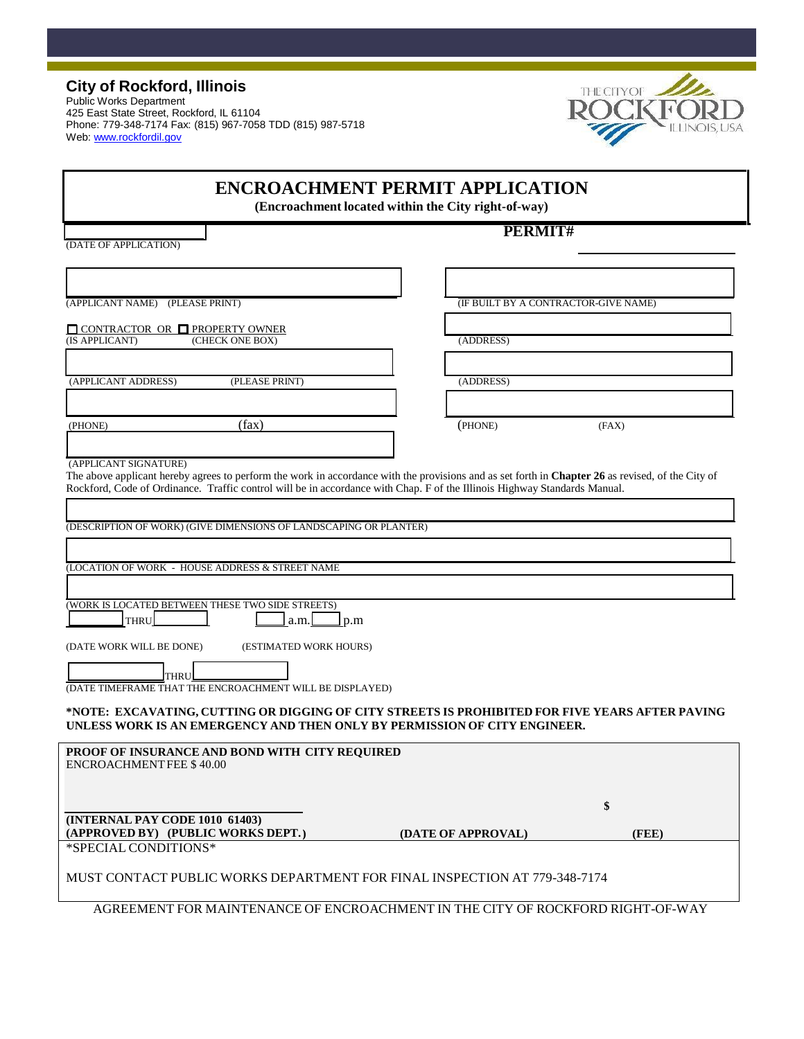Public Works Department 425 East State Street, Rockford, IL 61104 Phone: 779-348-7174 Fax: (815) 967-7058 TDD (815) 987-5718 Web[: www.rockfordil.gov](http://www.rockfordil.gov/)



|                                                                                                                                                                              | <b>ENCROACHMENT PERMIT APPLICATION</b><br>(Encroachment located within the City right-of-way) |       |  |
|------------------------------------------------------------------------------------------------------------------------------------------------------------------------------|-----------------------------------------------------------------------------------------------|-------|--|
| (DATE OF APPLICATION)                                                                                                                                                        | PERMIT#                                                                                       |       |  |
| (APPLICANT NAME) (PLEASE PRINT)                                                                                                                                              | <b><i>(IF BUILT BY A CONTRACTOR-GIVE NAME)</i></b>                                            |       |  |
| $\Box$ CONTRACTOR OR $\Box$ PROPERTY OWNER<br>(IS APPLICANT)<br>(CHECK ONE BOX)                                                                                              | (ADDRESS)                                                                                     |       |  |
| (APPLICANT ADDRESS)<br>(PLEASE PRINT)                                                                                                                                        | (ADDRESS)                                                                                     |       |  |
| (fax)<br>(PHONE)                                                                                                                                                             | (PHONE)                                                                                       | (FAX) |  |
| (DESCRIPTION OF WORK) (GIVE DIMENSIONS OF LANDSCAPING OR PLANTER)<br>(LOCATION OF WORK - HOUSE ADDRESS & STREET NAME                                                         |                                                                                               |       |  |
| (WORK IS LOCATED BETWEEN THESE TWO SIDE STREETS)<br><b>THRU</b><br>a.m.<br>$\Box$ p.m                                                                                        |                                                                                               |       |  |
| (DATE WORK WILL BE DONE)<br>(ESTIMATED WORK HOURS)<br><b>THRU</b><br>(DATE TIMEFRAME THAT THE ENCROACHMENT WILL BE DISPLAYED)                                                |                                                                                               |       |  |
| *NOTE: EXCAVATING, CUTTING OR DIGGING OF CITY STREETS IS PROHIBITED FOR FIVE YEARS AFTER PAVING<br>UNLESS WORK IS AN EMERGENCY AND THEN ONLY BY PERMISSION OF CITY ENGINEER. |                                                                                               |       |  |
| PROOF OF INSURANCE AND BOND WITH CITY REQUIRED<br>ENCROACHMENT FEE \$40.00                                                                                                   |                                                                                               |       |  |
| (INTERNAL PAY CODE 1010 61403)                                                                                                                                               |                                                                                               | \$    |  |
| (APPROVED BY) (PUBLIC WORKS DEPT.)<br>*SPECIAL CONDITIONS*                                                                                                                   | (DATE OF APPROVAL)                                                                            | (FEE) |  |
| MUST CONTACT PUBLIC WORKS DEPARTMENT FOR FINAL INSPECTION AT 779-348-7174                                                                                                    |                                                                                               |       |  |
| AGREEMENT FOR MAINTENANCE OF ENCROACHMENT IN THE CITY OF ROCKFORD RIGHT-OF-WAY                                                                                               |                                                                                               |       |  |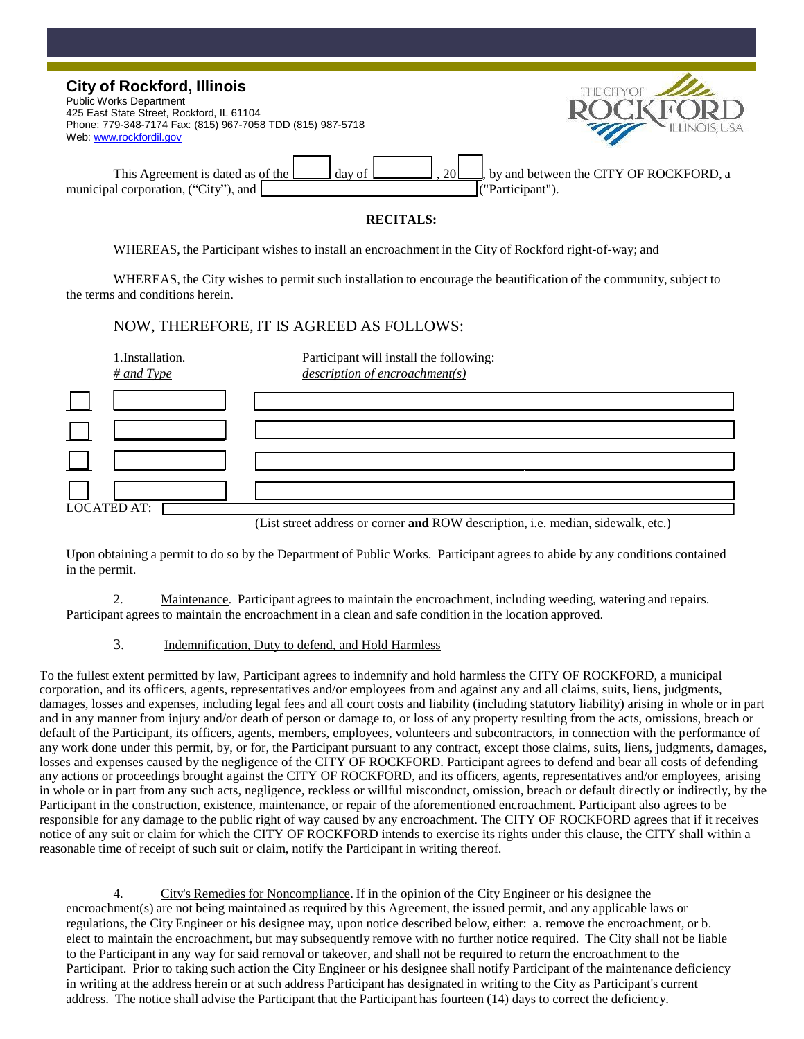| <b>City of Rockford, Illinois</b><br><b>Public Works Department</b><br>425 East State Street, Rockford, IL 61104<br>Phone: 779-348-7174 Fax: (815) 967-7058 TDD (815) 987-5718<br>Web www.rockfordil.gov | THE CITYOF<br>ILLINOIS, USA                                |
|----------------------------------------------------------------------------------------------------------------------------------------------------------------------------------------------------------|------------------------------------------------------------|
| <b>20</b><br>This Agreement is dated as of the<br>day of<br>municipal corporation, ("City"), and                                                                                                         | by and between the CITY OF ROCKFORD, a<br>("Participant"). |

## **RECITALS:**

WHEREAS, the Participant wishes to install an encroachment in the City of Rockford right-of-way; and

WHEREAS, the City wishes to permit such installation to encourage the beautification of the community, subject to the terms and conditions herein.

## NOW, THEREFORE, IT IS AGREED AS FOLLOWS:

| 1.Installation.<br>$#$ and Type | Participant will install the following:<br>$\frac{description\ of\ encroachment(s)}{}$ |
|---------------------------------|----------------------------------------------------------------------------------------|
|                                 |                                                                                        |
|                                 |                                                                                        |
|                                 |                                                                                        |
|                                 |                                                                                        |
| <b>LOCATED AT:</b>              |                                                                                        |

(List street address or corner **and** ROW description, i.e. median, sidewalk, etc.)

Upon obtaining a permit to do so by the Department of Public Works. Participant agrees to abide by any conditions contained in the permit.

2. Maintenance. Participant agrees to maintain the encroachment, including weeding, watering and repairs. Participant agrees to maintain the encroachment in a clean and safe condition in the location approved.

#### 3. Indemnification, Duty to defend, and Hold Harmless

To the fullest extent permitted by law, Participant agrees to indemnify and hold harmless the CITY OF ROCKFORD, a municipal corporation, and its officers, agents, representatives and/or employees from and against any and all claims, suits, liens, judgments, damages, losses and expenses, including legal fees and all court costs and liability (including statutory liability) arising in whole or in part and in any manner from injury and/or death of person or damage to, or loss of any property resulting from the acts, omissions, breach or default of the Participant, its officers, agents, members, employees, volunteers and subcontractors, in connection with the performance of any work done under this permit, by, or for, the Participant pursuant to any contract, except those claims, suits, liens, judgments, damages, losses and expenses caused by the negligence of the CITY OF ROCKFORD. Participant agrees to defend and bear all costs of defending any actions or proceedings brought against the CITY OF ROCKFORD, and its officers, agents, representatives and/or employees, arising in whole or in part from any such acts, negligence, reckless or willful misconduct, omission, breach or default directly or indirectly, by the Participant in the construction, existence, maintenance, or repair of the aforementioned encroachment. Participant also agrees to be responsible for any damage to the public right of way caused by any encroachment. The CITY OF ROCKFORD agrees that if it receives notice of any suit or claim for which the CITY OF ROCKFORD intends to exercise its rights under this clause, the CITY shall within a reasonable time of receipt of such suit or claim, notify the Participant in writing thereof.

4. City's Remedies for Noncompliance. If in the opinion of the City Engineer or his designee the encroachment(s) are not being maintained as required by this Agreement, the issued permit, and any applicable laws or regulations, the City Engineer or his designee may, upon notice described below, either: a. remove the encroachment, or b. elect to maintain the encroachment, but may subsequently remove with no further notice required. The City shall not be liable to the Participant in any way for said removal or takeover, and shall not be required to return the encroachment to the Participant. Prior to taking such action the City Engineer or his designee shall notify Participant of the maintenance deficiency in writing at the address herein or at such address Participant has designated in writing to the City as Participant's current address. The notice shall advise the Participant that the Participant has fourteen (14) days to correct the deficiency.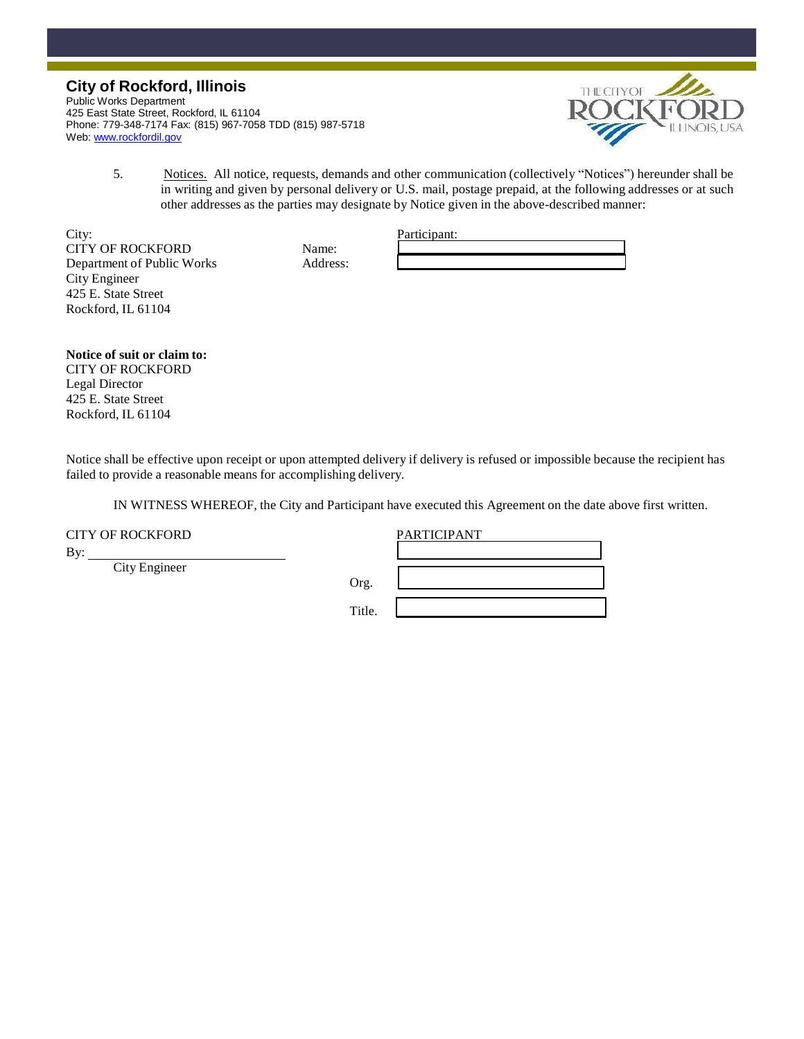Public Works Department 425 East State Street, Rockford, IL 61104 Phone: 779-348-7174 Fax: (815) 967-7058 TDD (815) 987-5718 Web[: www.rockfordil.gov](http://www.rockfordil.gov/)



5. Notices. All notice, requests, demands and other communication (collectively "Notices") hereunder shall be in writing and given by personal delivery or U.S. mail, postage prepaid, at the following addresses or at such other addresses as the parties may designate by Notice given in the above-described manner:

City: Participant: CITY OF ROCKFORD Name: Department of Public Works Address: City Engineer 425 E. State Street Rockford, IL 61104

| Participant: |  |  |
|--------------|--|--|
|              |  |  |
|              |  |  |

**Notice of suit or claim to:**  CITY OF ROCKFORD Legal Director 425 E. State Street Rockford, IL 61104

Notice shall be effective upon receipt or upon attempted delivery if delivery is refused or impossible because the recipient has failed to provide a reasonable means for accomplishing delivery.

IN WITNESS WHEREOF, the City and Participant have executed this Agreement on the date above first written.

CITY OF ROCKFORD PARTICIPANT

By:

City Engineer

Org.

Title.

| PARTICIPANT |  |
|-------------|--|
|             |  |
|             |  |
|             |  |
|             |  |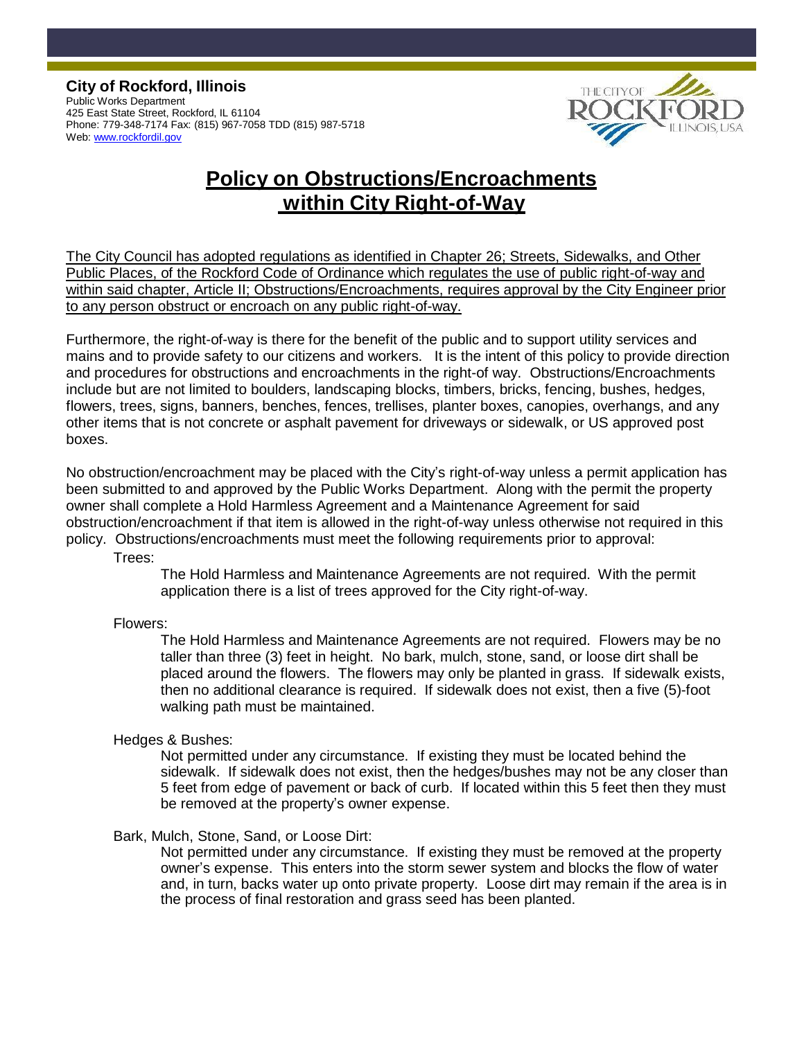**City of Rockford, Illinois** Public Works Department 425 East State Street, Rockford, IL 61104 Phone: 779-348-7174 Fax: (815) 967-7058 TDD (815) 987-5718 Web[: www.rockfordil.gov](http://www.rockfordil.gov/)



# **Policy on Obstructions/Encroachments within City Right-of-Way**

The City Council has adopted regulations as identified in Chapter 26; Streets, Sidewalks, and Other Public Places, of the Rockford Code of Ordinance which regulates the use of public right-of-way and within said chapter, Article II; Obstructions/Encroachments, requires approval by the City Engineer prior to any person obstruct or encroach on any public right-of-way.

Furthermore, the right-of-way is there for the benefit of the public and to support utility services and mains and to provide safety to our citizens and workers. It is the intent of this policy to provide direction and procedures for obstructions and encroachments in the right-of way. Obstructions/Encroachments include but are not limited to boulders, landscaping blocks, timbers, bricks, fencing, bushes, hedges, flowers, trees, signs, banners, benches, fences, trellises, planter boxes, canopies, overhangs, and any other items that is not concrete or asphalt pavement for driveways or sidewalk, or US approved post boxes.

No obstruction/encroachment may be placed with the City's right-of-way unless a permit application has been submitted to and approved by the Public Works Department. Along with the permit the property owner shall complete a Hold Harmless Agreement and a Maintenance Agreement for said obstruction/encroachment if that item is allowed in the right-of-way unless otherwise not required in this policy. Obstructions/encroachments must meet the following requirements prior to approval:

Trees:

The Hold Harmless and Maintenance Agreements are not required. With the permit application there is a list of trees approved for the City right-of-way.

Flowers:

The Hold Harmless and Maintenance Agreements are not required. Flowers may be no taller than three (3) feet in height. No bark, mulch, stone, sand, or loose dirt shall be placed around the flowers. The flowers may only be planted in grass. If sidewalk exists, then no additional clearance is required. If sidewalk does not exist, then a five (5)-foot walking path must be maintained.

Hedges & Bushes:

Not permitted under any circumstance. If existing they must be located behind the sidewalk. If sidewalk does not exist, then the hedges/bushes may not be any closer than 5 feet from edge of pavement or back of curb. If located within this 5 feet then they must be removed at the property's owner expense.

## Bark, Mulch, Stone, Sand, or Loose Dirt:

Not permitted under any circumstance. If existing they must be removed at the property owner's expense. This enters into the storm sewer system and blocks the flow of water and, in turn, backs water up onto private property. Loose dirt may remain if the area is in the process of final restoration and grass seed has been planted.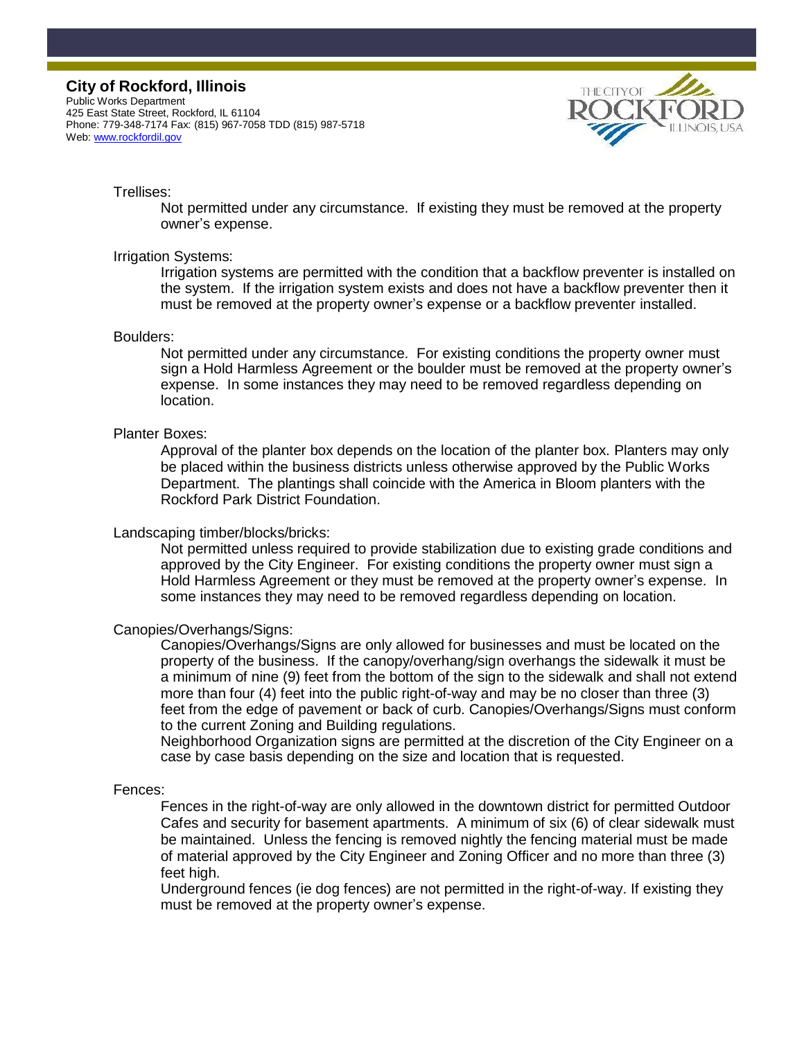Public Works Department 425 East State Street, Rockford, IL 61104 Phone: 779-348-7174 Fax: (815) 967-7058 TDD (815) 987-5718 Web[: www.rockfordil.gov](http://www.rockfordil.gov/)



#### Trellises:

Not permitted under any circumstance. If existing they must be removed at the property owner's expense.

#### Irrigation Systems:

Irrigation systems are permitted with the condition that a backflow preventer is installed on the system. If the irrigation system exists and does not have a backflow preventer then it must be removed at the property owner's expense or a backflow preventer installed.

#### Boulders:

Not permitted under any circumstance. For existing conditions the property owner must sign a Hold Harmless Agreement or the boulder must be removed at the property owner's expense. In some instances they may need to be removed regardless depending on location.

#### Planter Boxes:

Approval of the planter box depends on the location of the planter box. Planters may only be placed within the business districts unless otherwise approved by the Public Works Department. The plantings shall coincide with the America in Bloom planters with the Rockford Park District Foundation.

#### Landscaping timber/blocks/bricks:

Not permitted unless required to provide stabilization due to existing grade conditions and approved by the City Engineer. For existing conditions the property owner must sign a Hold Harmless Agreement or they must be removed at the property owner's expense. In some instances they may need to be removed regardless depending on location.

#### Canopies/Overhangs/Signs:

Canopies/Overhangs/Signs are only allowed for businesses and must be located on the property of the business. If the canopy/overhang/sign overhangs the sidewalk it must be a minimum of nine (9) feet from the bottom of the sign to the sidewalk and shall not extend more than four (4) feet into the public right-of-way and may be no closer than three (3) feet from the edge of pavement or back of curb. Canopies/Overhangs/Signs must conform to the current Zoning and Building regulations.

Neighborhood Organization signs are permitted at the discretion of the City Engineer on a case by case basis depending on the size and location that is requested.

#### Fences:

Fences in the right-of-way are only allowed in the downtown district for permitted Outdoor Cafes and security for basement apartments. A minimum of six (6) of clear sidewalk must be maintained. Unless the fencing is removed nightly the fencing material must be made of material approved by the City Engineer and Zoning Officer and no more than three (3) feet high.

Underground fences (ie dog fences) are not permitted in the right-of-way. If existing they must be removed at the property owner's expense.